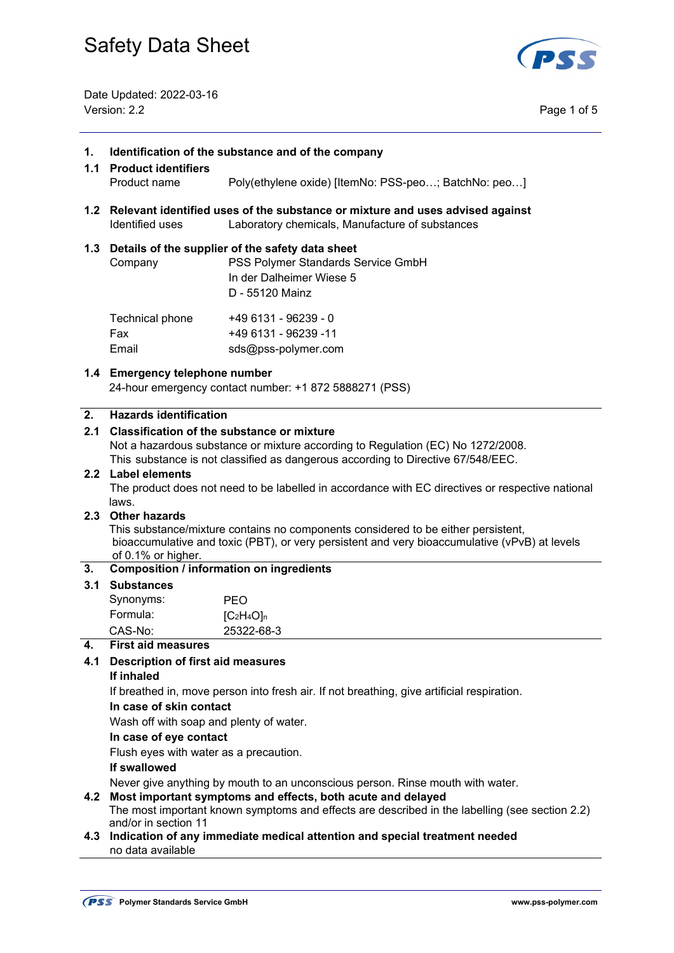

Date Updated: 2022-03-16 Version: 2.2 Page 1 of 5

| 1.      | Identification of the substance and of the company<br>1.1 Product identifiers                                                                                                                                                 |                                                                                                                                           |  |  |  |
|---------|-------------------------------------------------------------------------------------------------------------------------------------------------------------------------------------------------------------------------------|-------------------------------------------------------------------------------------------------------------------------------------------|--|--|--|
|         | Product name                                                                                                                                                                                                                  | Poly(ethylene oxide) [ItemNo: PSS-peo; BatchNo: peo]                                                                                      |  |  |  |
|         | 1.2 Relevant identified uses of the substance or mixture and uses advised against<br>Identified uses<br>Laboratory chemicals, Manufacture of substances                                                                       |                                                                                                                                           |  |  |  |
|         | Company                                                                                                                                                                                                                       | 1.3 Details of the supplier of the safety data sheet<br>PSS Polymer Standards Service GmbH<br>In der Dalheimer Wiese 5<br>D - 55120 Mainz |  |  |  |
|         | Technical phone<br>Fax<br>Email                                                                                                                                                                                               | +49 6131 - 96239 - 0<br>+49 6131 - 96239 -11<br>sds@pss-polymer.com                                                                       |  |  |  |
|         | 1.4 Emergency telephone number<br>24-hour emergency contact number: +1 872 5888271 (PSS)                                                                                                                                      |                                                                                                                                           |  |  |  |
| 2.      | <b>Hazards identification</b>                                                                                                                                                                                                 |                                                                                                                                           |  |  |  |
| $2.1\,$ |                                                                                                                                                                                                                               | <b>Classification of the substance or mixture</b>                                                                                         |  |  |  |
|         |                                                                                                                                                                                                                               | Not a hazardous substance or mixture according to Regulation (EC) No 1272/2008.                                                           |  |  |  |
|         | 2.2 Label elements                                                                                                                                                                                                            | This substance is not classified as dangerous according to Directive 67/548/EEC.                                                          |  |  |  |
|         |                                                                                                                                                                                                                               | The product does not need to be labelled in accordance with EC directives or respective national                                          |  |  |  |
|         | laws.                                                                                                                                                                                                                         |                                                                                                                                           |  |  |  |
|         | 2.3 Other hazards<br>This substance/mixture contains no components considered to be either persistent,<br>bioaccumulative and toxic (PBT), or very persistent and very bioaccumulative (vPvB) at levels<br>of 0.1% or higher. |                                                                                                                                           |  |  |  |
| 3.      | <b>Composition / information on ingredients</b>                                                                                                                                                                               |                                                                                                                                           |  |  |  |
|         | 3.1 Substances                                                                                                                                                                                                                |                                                                                                                                           |  |  |  |
|         | Synonyms:                                                                                                                                                                                                                     | <b>PEO</b>                                                                                                                                |  |  |  |
|         | Formula:<br>CAS-No:                                                                                                                                                                                                           | $[C2H4O]n$<br>25322-68-3                                                                                                                  |  |  |  |
| 4.      | <b>First aid measures</b>                                                                                                                                                                                                     |                                                                                                                                           |  |  |  |
| 4.1     | <b>Description of first aid measures</b>                                                                                                                                                                                      |                                                                                                                                           |  |  |  |
|         | If inhaled                                                                                                                                                                                                                    |                                                                                                                                           |  |  |  |
|         | If breathed in, move person into fresh air. If not breathing, give artificial respiration.<br>In case of skin contact<br>Wash off with soap and plenty of water.                                                              |                                                                                                                                           |  |  |  |
|         |                                                                                                                                                                                                                               |                                                                                                                                           |  |  |  |
|         |                                                                                                                                                                                                                               |                                                                                                                                           |  |  |  |
|         | In case of eye contact                                                                                                                                                                                                        |                                                                                                                                           |  |  |  |
|         | Flush eyes with water as a precaution.<br>If swallowed                                                                                                                                                                        |                                                                                                                                           |  |  |  |
|         | Never give anything by mouth to an unconscious person. Rinse mouth with water.                                                                                                                                                |                                                                                                                                           |  |  |  |
| 4.2     | Most important symptoms and effects, both acute and delayed                                                                                                                                                                   |                                                                                                                                           |  |  |  |
|         | The most important known symptoms and effects are described in the labelling (see section 2.2)                                                                                                                                |                                                                                                                                           |  |  |  |
|         | and/or in section 11                                                                                                                                                                                                          | 4.3 Indication of any immediate medical attention and special treatment needed                                                            |  |  |  |
|         | no data available                                                                                                                                                                                                             |                                                                                                                                           |  |  |  |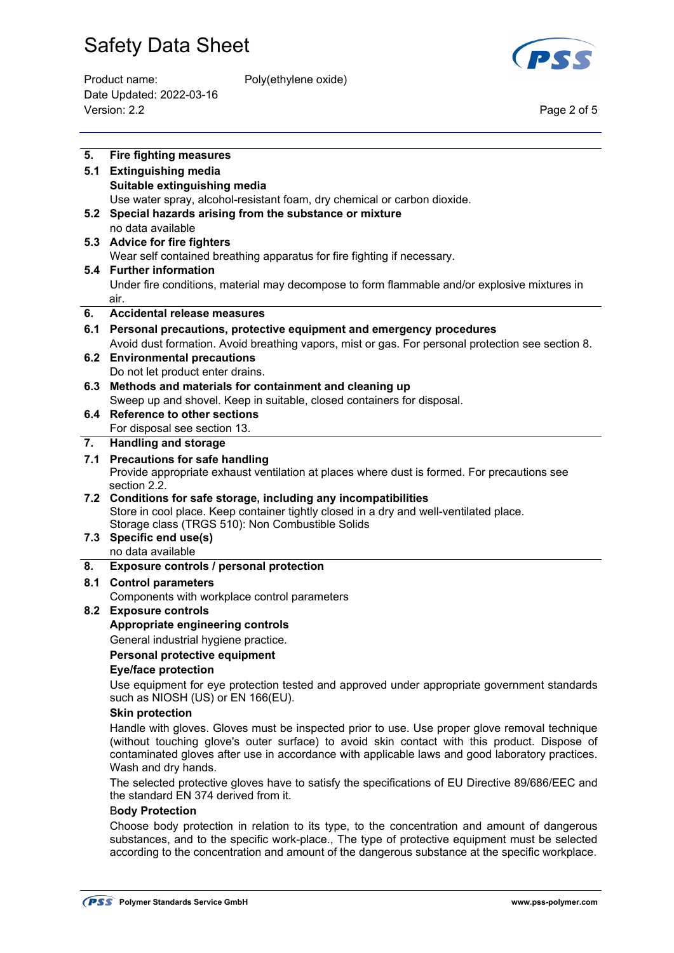

Product name: Poly(ethylene oxide) Date Updated: 2022-03-16 Version: 2.2 Page 2 of 5

| 5.  | <b>Fire fighting measures</b>                                                                                                                                                                     |  |  |
|-----|---------------------------------------------------------------------------------------------------------------------------------------------------------------------------------------------------|--|--|
| 5.1 | <b>Extinguishing media</b>                                                                                                                                                                        |  |  |
|     | Suitable extinguishing media                                                                                                                                                                      |  |  |
|     | Use water spray, alcohol-resistant foam, dry chemical or carbon dioxide.                                                                                                                          |  |  |
| 5.2 | Special hazards arising from the substance or mixture                                                                                                                                             |  |  |
|     | no data available                                                                                                                                                                                 |  |  |
|     | 5.3 Advice for fire fighters                                                                                                                                                                      |  |  |
|     | Wear self contained breathing apparatus for fire fighting if necessary.                                                                                                                           |  |  |
|     | 5.4 Further information                                                                                                                                                                           |  |  |
|     | Under fire conditions, material may decompose to form flammable and/or explosive mixtures in                                                                                                      |  |  |
|     | air.                                                                                                                                                                                              |  |  |
| 6.  | Accidental release measures                                                                                                                                                                       |  |  |
|     | 6.1 Personal precautions, protective equipment and emergency procedures                                                                                                                           |  |  |
|     | Avoid dust formation. Avoid breathing vapors, mist or gas. For personal protection see section 8.                                                                                                 |  |  |
|     | 6.2 Environmental precautions                                                                                                                                                                     |  |  |
|     | Do not let product enter drains.                                                                                                                                                                  |  |  |
|     | 6.3 Methods and materials for containment and cleaning up                                                                                                                                         |  |  |
|     | Sweep up and shovel. Keep in suitable, closed containers for disposal.                                                                                                                            |  |  |
|     | 6.4 Reference to other sections                                                                                                                                                                   |  |  |
|     | For disposal see section 13.                                                                                                                                                                      |  |  |
| 7.  | <b>Handling and storage</b>                                                                                                                                                                       |  |  |
|     |                                                                                                                                                                                                   |  |  |
|     | 7.1 Precautions for safe handling                                                                                                                                                                 |  |  |
|     | Provide appropriate exhaust ventilation at places where dust is formed. For precautions see<br>section 2.2.                                                                                       |  |  |
|     | 7.2 Conditions for safe storage, including any incompatibilities                                                                                                                                  |  |  |
|     | Store in cool place. Keep container tightly closed in a dry and well-ventilated place.                                                                                                            |  |  |
|     | Storage class (TRGS 510): Non Combustible Solids                                                                                                                                                  |  |  |
|     | 7.3 Specific end use(s)                                                                                                                                                                           |  |  |
|     | no data available                                                                                                                                                                                 |  |  |
| 8.  | Exposure controls / personal protection                                                                                                                                                           |  |  |
| 8.1 | <b>Control parameters</b>                                                                                                                                                                         |  |  |
|     | Components with workplace control parameters                                                                                                                                                      |  |  |
|     | 8.2 Exposure controls                                                                                                                                                                             |  |  |
|     | Appropriate engineering controls                                                                                                                                                                  |  |  |
|     | General industrial hygiene practice.                                                                                                                                                              |  |  |
|     | Personal protective equipment                                                                                                                                                                     |  |  |
|     | <b>Eye/face protection</b>                                                                                                                                                                        |  |  |
|     |                                                                                                                                                                                                   |  |  |
|     | Use equipment for eye protection tested and approved under appropriate government standards<br>such as NIOSH (US) or EN 166(EU).                                                                  |  |  |
|     | <b>Skin protection</b>                                                                                                                                                                            |  |  |
|     | Handle with gloves. Gloves must be inspected prior to use. Use proper glove removal technique                                                                                                     |  |  |
|     | (without touching glove's outer surface) to avoid skin contact with this product. Dispose of                                                                                                      |  |  |
|     | contaminated gloves after use in accordance with applicable laws and good laboratory practices.                                                                                                   |  |  |
|     | Wash and dry hands.                                                                                                                                                                               |  |  |
|     | The selected protective gloves have to satisfy the specifications of EU Directive 89/686/EEC and                                                                                                  |  |  |
|     | the standard EN 374 derived from it.                                                                                                                                                              |  |  |
|     | <b>Body Protection</b>                                                                                                                                                                            |  |  |
|     | Choose body protection in relation to its type, to the concentration and amount of dangerous                                                                                                      |  |  |
|     | substances, and to the specific work-place., The type of protective equipment must be selected<br>according to the concentration and amount of the dangerous substance at the specific workplace. |  |  |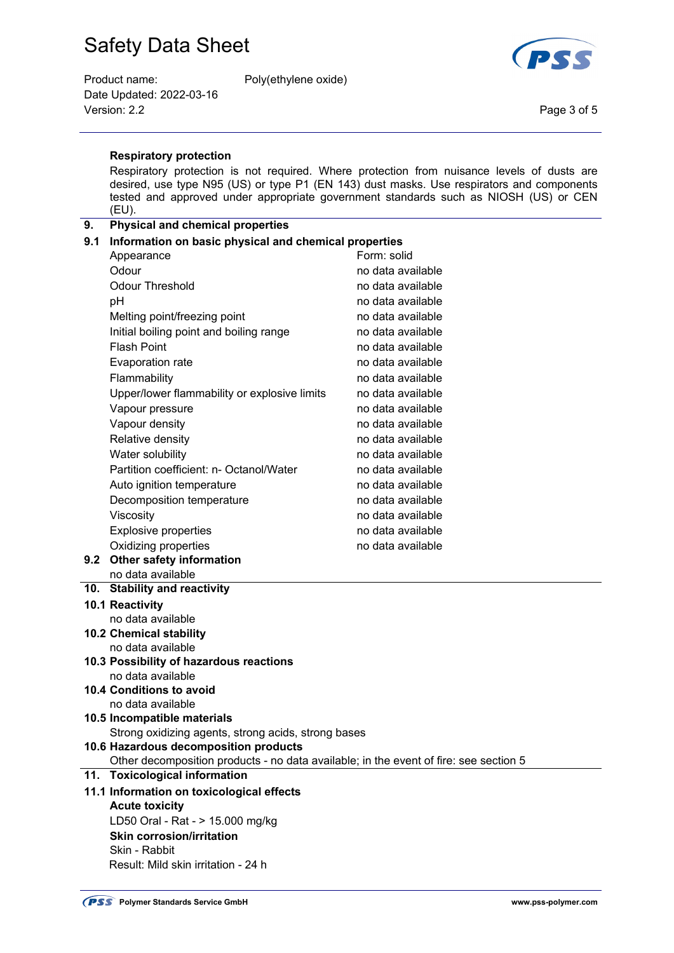Product name: Poly(ethylene oxide) Date Updated: 2022-03-16 Version: 2.2 Page 3 of 5



### **Respiratory protection**

 Respiratory protection is not required. Where protection from nuisance levels of dusts are desired, use type N95 (US) or type P1 (EN 143) dust masks. Use respirators and components tested and approved under appropriate government standards such as NIOSH (US) or CEN (EU).

### **9. Physical and chemical properties**

| 9.1                   | Information on basic physical and chemical properties                                 |                                                                                  |  |  |  |
|-----------------------|---------------------------------------------------------------------------------------|----------------------------------------------------------------------------------|--|--|--|
|                       | Appearance                                                                            | Form: solid                                                                      |  |  |  |
|                       | Odour                                                                                 | no data available                                                                |  |  |  |
|                       | <b>Odour Threshold</b>                                                                | no data available<br>no data available<br>no data available<br>no data available |  |  |  |
|                       | рH                                                                                    |                                                                                  |  |  |  |
|                       | Melting point/freezing point                                                          |                                                                                  |  |  |  |
|                       | Initial boiling point and boiling range                                               |                                                                                  |  |  |  |
|                       | <b>Flash Point</b>                                                                    | no data available                                                                |  |  |  |
|                       | Evaporation rate                                                                      | no data available                                                                |  |  |  |
|                       | Flammability                                                                          | no data available                                                                |  |  |  |
|                       | Upper/lower flammability or explosive limits                                          | no data available                                                                |  |  |  |
|                       | Vapour pressure                                                                       | no data available                                                                |  |  |  |
|                       | Vapour density                                                                        | no data available                                                                |  |  |  |
|                       | Relative density                                                                      | no data available                                                                |  |  |  |
|                       | Water solubility                                                                      | no data available                                                                |  |  |  |
|                       | Partition coefficient: n- Octanol/Water                                               | no data available                                                                |  |  |  |
|                       | Auto ignition temperature                                                             | no data available                                                                |  |  |  |
|                       | Decomposition temperature                                                             | no data available                                                                |  |  |  |
|                       | Viscosity                                                                             | no data available                                                                |  |  |  |
|                       | Explosive properties                                                                  | no data available                                                                |  |  |  |
|                       | Oxidizing properties                                                                  | no data available                                                                |  |  |  |
|                       | 9.2 Other safety information                                                          |                                                                                  |  |  |  |
|                       | no data available                                                                     |                                                                                  |  |  |  |
|                       | 10. Stability and reactivity                                                          |                                                                                  |  |  |  |
|                       | 10.1 Reactivity                                                                       |                                                                                  |  |  |  |
|                       | no data available                                                                     |                                                                                  |  |  |  |
|                       | <b>10.2 Chemical stability</b><br>no data available                                   |                                                                                  |  |  |  |
|                       | 10.3 Possibility of hazardous reactions                                               |                                                                                  |  |  |  |
|                       | no data available                                                                     |                                                                                  |  |  |  |
|                       | <b>10.4 Conditions to avoid</b>                                                       |                                                                                  |  |  |  |
|                       | no data available                                                                     |                                                                                  |  |  |  |
|                       | 10.5 Incompatible materials                                                           |                                                                                  |  |  |  |
|                       | Strong oxidizing agents, strong acids, strong bases                                   |                                                                                  |  |  |  |
|                       | 10.6 Hazardous decomposition products                                                 |                                                                                  |  |  |  |
|                       | Other decomposition products - no data available; in the event of fire: see section 5 |                                                                                  |  |  |  |
| 11.                   | <b>Toxicological information</b>                                                      |                                                                                  |  |  |  |
|                       | 11.1 Information on toxicological effects                                             |                                                                                  |  |  |  |
| <b>Acute toxicity</b> |                                                                                       |                                                                                  |  |  |  |
|                       | LD50 Oral - Rat - > 15.000 mg/kg                                                      |                                                                                  |  |  |  |
|                       | <b>Skin corrosion/irritation</b>                                                      |                                                                                  |  |  |  |
|                       | Skin - Rabbit                                                                         |                                                                                  |  |  |  |
|                       | Result: Mild skin irritation - 24 h                                                   |                                                                                  |  |  |  |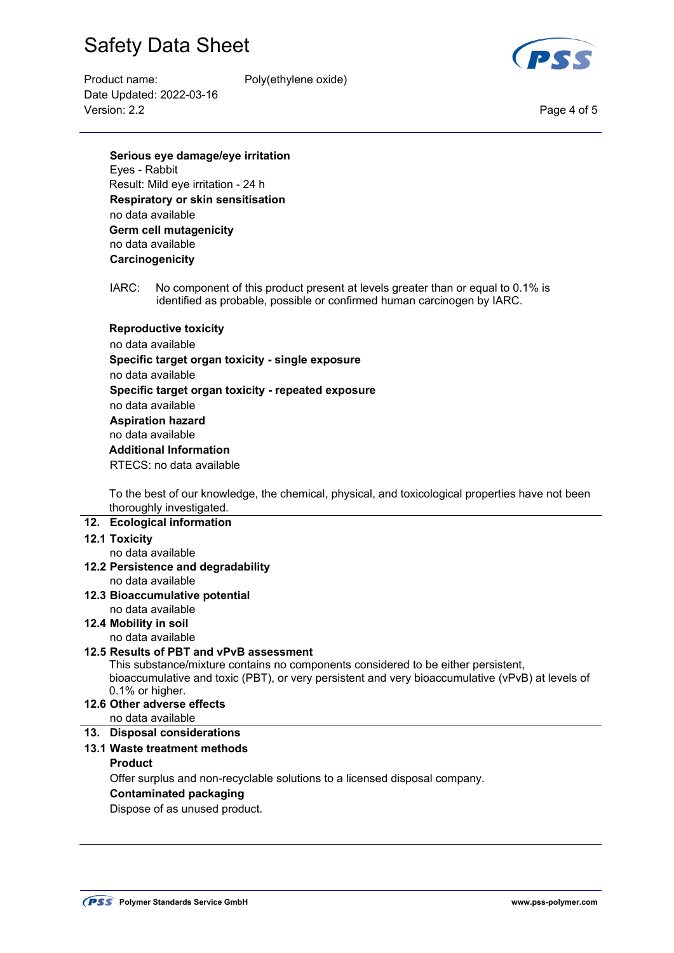

Product name: Poly(ethylene oxide) Date Updated: 2022-03-16 Version: 2.2 Page 4 of 5

**Serious eye damage/eye irritation** Eyes - Rabbit Result: Mild eye irritation - 24 h  **Respiratory or skin sensitisation** no data available **Germ cell mutagenicity** no data available **Carcinogenicity** 

 IARC: No component of this product present at levels greater than or equal to 0.1% is identified as probable, possible or confirmed human carcinogen by IARC.

### **Reproductive toxicity**

 no data available  **Specific target organ toxicity - single exposure** no data available **Specific target organ toxicity - repeated exposure** no data available **Aspiration hazard** no data available **Additional Information**  RTECS: no data available

 To the best of our knowledge, the chemical, physical, and toxicological properties have not been thoroughly investigated.

#### **12. Ecological information**

### **12.1 Toxicity**

no data available

- **12.2 Persistence and degradability**  no data available
- **12.3 Bioaccumulative potential**
- no data available
- **12.4 Mobility in soil**

no data available

# **12.5 Results of PBT and vPvB assessment**

 This substance/mixture contains no components considered to be either persistent, bioaccumulative and toxic (PBT), or very persistent and very bioaccumulative (vPvB) at levels of 0.1% or higher.

**12.6 Other adverse effects** 

no data available

# **13. Disposal considerations 13.1 Waste treatment methods**

# **Product**

Offer surplus and non-recyclable solutions to a licensed disposal company.

#### **Contaminated packaging**

Dispose of as unused product.